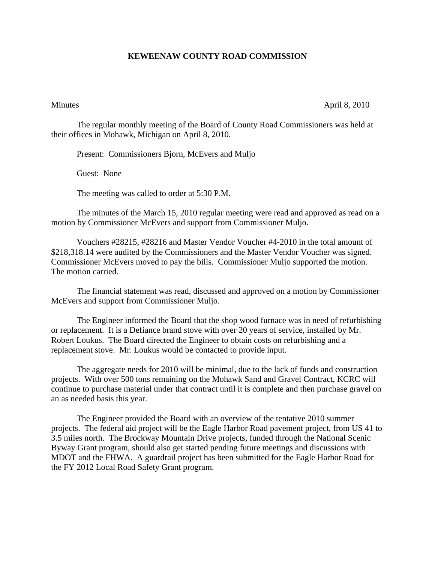## **KEWEENAW COUNTY ROAD COMMISSION**

Minutes April 8, 2010

The regular monthly meeting of the Board of County Road Commissioners was held at their offices in Mohawk, Michigan on April 8, 2010.

Present: Commissioners Bjorn, McEvers and Muljo

Guest: None

The meeting was called to order at 5:30 P.M.

 The minutes of the March 15, 2010 regular meeting were read and approved as read on a motion by Commissioner McEvers and support from Commissioner Muljo.

 Vouchers #28215, #28216 and Master Vendor Voucher #4-2010 in the total amount of \$218,318.14 were audited by the Commissioners and the Master Vendor Voucher was signed. Commissioner McEvers moved to pay the bills. Commissioner Muljo supported the motion. The motion carried.

 The financial statement was read, discussed and approved on a motion by Commissioner McEvers and support from Commissioner Muljo.

 The Engineer informed the Board that the shop wood furnace was in need of refurbishing or replacement. It is a Defiance brand stove with over 20 years of service, installed by Mr. Robert Loukus. The Board directed the Engineer to obtain costs on refurbishing and a replacement stove. Mr. Loukus would be contacted to provide input.

 The aggregate needs for 2010 will be minimal, due to the lack of funds and construction projects. With over 500 tons remaining on the Mohawk Sand and Gravel Contract, KCRC will continue to purchase material under that contract until it is complete and then purchase gravel on an as needed basis this year.

 The Engineer provided the Board with an overview of the tentative 2010 summer projects. The federal aid project will be the Eagle Harbor Road pavement project, from US 41 to 3.5 miles north. The Brockway Mountain Drive projects, funded through the National Scenic Byway Grant program, should also get started pending future meetings and discussions with MDOT and the FHWA. A guardrail project has been submitted for the Eagle Harbor Road for the FY 2012 Local Road Safety Grant program.